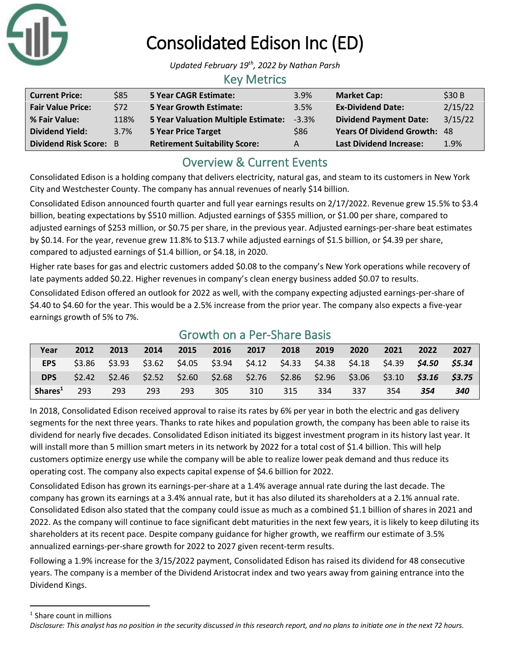

# Consolidated Edison Inc (ED)

*Updated February 19th, 2022 by Nathan Parsh*

#### Key Metrics

| <b>Current Price:</b>         | \$85 | <b>5 Year CAGR Estimate:</b>         | 3.9%    | <b>Market Cap:</b>                  | \$30B   |
|-------------------------------|------|--------------------------------------|---------|-------------------------------------|---------|
| <b>Fair Value Price:</b>      | \$72 | <b>5 Year Growth Estimate:</b>       | 3.5%    | <b>Ex-Dividend Date:</b>            | 2/15/22 |
| % Fair Value:                 | 118% | 5 Year Valuation Multiple Estimate:  | $-3.3%$ | <b>Dividend Payment Date:</b>       | 3/15/22 |
| <b>Dividend Yield:</b>        | 3.7% | 5 Year Price Target                  | \$86    | <b>Years Of Dividend Growth: 48</b> |         |
| <b>Dividend Risk Score: B</b> |      | <b>Retirement Suitability Score:</b> | A       | <b>Last Dividend Increase:</b>      | 1.9%    |

## Overview & Current Events

Consolidated Edison is a holding company that delivers electricity, natural gas, and steam to its customers in New York City and Westchester County. The company has annual revenues of nearly \$14 billion.

Consolidated Edison announced fourth quarter and full year earnings results on 2/17/2022. Revenue grew 15.5% to \$3.4 billion, beating expectations by \$510 million. Adjusted earnings of \$355 million, or \$1.00 per share, compared to adjusted earnings of \$253 million, or \$0.75 per share, in the previous year. Adjusted earnings-per-share beat estimates by \$0.14. For the year, revenue grew 11.8% to \$13.7 while adjusted earnings of \$1.5 billion, or \$4.39 per share, compared to adjusted earnings of \$1.4 billion, or \$4.18, in 2020.

Higher rate bases for gas and electric customers added \$0.08 to the company's New York operations while recovery of late payments added \$0.22. Higher revenues in company's clean energy business added \$0.07 to results.

Consolidated Edison offered an outlook for 2022 as well, with the company expecting adjusted earnings-per-share of \$4.40 to \$4.60 for the year. This would be a 2.5% increase from the prior year. The company also expects a five-year earnings growth of 5% to 7%.

| Year                | 2012  | 2013                                                                    | 2014                                                            | 2015 | 2016 | 2017 | 2018 | 2019 | 2020 | 2021 | 2022            | 2027 |
|---------------------|-------|-------------------------------------------------------------------------|-----------------------------------------------------------------|------|------|------|------|------|------|------|-----------------|------|
| <b>EPS</b>          |       | $$3.86$ $$3.93$                                                         | $$3.62$ $$4.05$ $$3.94$ $$4.12$ $$4.33$ $$4.38$ $$4.18$ $$4.39$ |      |      |      |      |      |      |      | \$4.50 \$5.34   |      |
| <b>DPS</b>          | 52.42 | $$2.46$ $$2.52$ $$2.60$ $$2.68$ $$2.76$ $$2.86$ $$2.96$ $$3.06$ $$3.10$ |                                                                 |      |      |      |      |      |      |      | $$3.16$ $$3.75$ |      |
| Shares <sup>1</sup> | 293   | 293                                                                     | 293                                                             | 293  | 305  | 310  | 315  | 334  | 337  | 354  | 354             | 340  |

### Growth on a Per-Share Basis

In 2018, Consolidated Edison received approval to raise its rates by 6% per year in both the electric and gas delivery segments for the next three years. Thanks to rate hikes and population growth, the company has been able to raise its dividend for nearly five decades. Consolidated Edison initiated its biggest investment program in its history last year. It will install more than 5 million smart meters in its network by 2022 for a total cost of \$1.4 billion. This will help customers optimize energy use while the company will be able to realize lower peak demand and thus reduce its operating cost. The company also expects capital expense of \$4.6 billion for 2022.

Consolidated Edison has grown its earnings-per-share at a 1.4% average annual rate during the last decade. The company has grown its earnings at a 3.4% annual rate, but it has also diluted its shareholders at a 2.1% annual rate. Consolidated Edison also stated that the company could issue as much as a combined \$1.1 billion of shares in 2021 and 2022. As the company will continue to face significant debt maturities in the next few years, it is likely to keep diluting its shareholders at its recent pace. Despite company guidance for higher growth, we reaffirm our estimate of 3.5% annualized earnings-per-share growth for 2022 to 2027 given recent-term results.

Following a 1.9% increase for the 3/15/2022 payment, Consolidated Edison has raised its dividend for 48 consecutive years. The company is a member of the Dividend Aristocrat index and two years away from gaining entrance into the Dividend Kings.

<sup>1</sup> Share count in millions

*Disclosure: This analyst has no position in the security discussed in this research report, and no plans to initiate one in the next 72 hours.*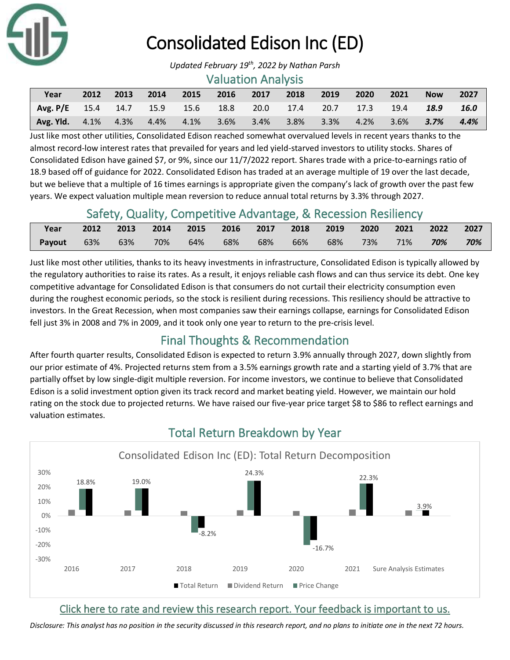

## Consolidated Edison Inc (ED)

#### Valuation Analysis

| Year                                                                          | 2012 | 2013 | $\sim$ 2014 | 2015 | 2016 2017 | $\sim$ 2018 | 2019 | $\sim$ 2020 $\sim$ | $\sim$ 2021 | <b>Now</b> | 2027    |
|-------------------------------------------------------------------------------|------|------|-------------|------|-----------|-------------|------|--------------------|-------------|------------|---------|
| <b>Avg. P/E</b> 15.4 14.7 15.9 15.6 18.8 20.0 17.4 20.7 17.3 19.4 <b>18.9</b> |      |      |             |      |           |             |      |                    |             |            | 16.0    |
| <b>Avg. Yld.</b> 4.1% 4.3% 4.4% 4.1% 3.6% 3.4% 3.8% 3.3% 4.2% 3.6% 3.7%       |      |      |             |      |           |             |      |                    |             |            | $4.4\%$ |

Just like most other utilities, Consolidated Edison reached somewhat overvalued levels in recent years thanks to the almost record-low interest rates that prevailed for years and led yield-starved investors to utility stocks. Shares of Consolidated Edison have gained \$7, or 9%, since our 11/7/2022 report. Shares trade with a price-to-earnings ratio of 18.9 based off of guidance for 2022. Consolidated Edison has traded at an average multiple of 19 over the last decade, but we believe that a multiple of 16 times earnings is appropriate given the company's lack of growth over the past few years. We expect valuation multiple mean reversion to reduce annual total returns by 3.3% through 2027.

### Safety, Quality, Competitive Advantage, & Recession Resiliency

| Year   |            | 2012 2013 2014 2015 2016 2017 2018 2019 2020 2021 2022 2027 |     |     |  |                                |  |     |
|--------|------------|-------------------------------------------------------------|-----|-----|--|--------------------------------|--|-----|
| Payout | $63\%$ 63% | 70%                                                         | 64% | 68% |  | 68% 66% 68% 73% 71% <b>70%</b> |  | 70% |

Just like most other utilities, thanks to its heavy investments in infrastructure, Consolidated Edison is typically allowed by the regulatory authorities to raise its rates. As a result, it enjoys reliable cash flows and can thus service its debt. One key competitive advantage for Consolidated Edison is that consumers do not curtail their electricity consumption even during the roughest economic periods, so the stock is resilient during recessions. This resiliency should be attractive to investors. In the Great Recession, when most companies saw their earnings collapse, earnings for Consolidated Edison fell just 3% in 2008 and 7% in 2009, and it took only one year to return to the pre-crisis level.

## Final Thoughts & Recommendation

After fourth quarter results, Consolidated Edison is expected to return 3.9% annually through 2027, down slightly from our prior estimate of 4%. Projected returns stem from a 3.5% earnings growth rate and a starting yield of 3.7% that are partially offset by low single-digit multiple reversion. For income investors, we continue to believe that Consolidated Edison is a solid investment option given its track record and market beating yield. However, we maintain our hold rating on the stock due to projected returns. We have raised our five-year price target \$8 to \$86 to reflect earnings and valuation estimates.



## Total Return Breakdown by Year

#### [Click here to rate and review this research report. Your feedback is important to us.](https://suredividend.typeform.com/to/pOfbkh)

*Disclosure: This analyst has no position in the security discussed in this research report, and no plans to initiate one in the next 72 hours.*

*Updated February 19th, 2022 by Nathan Parsh*